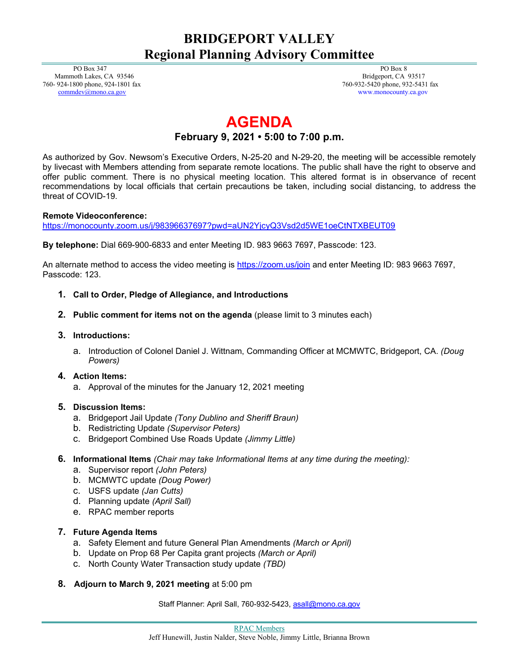## **BRIDGEPORT VALLEY Regional Planning Advisory Committee**

 PO Box 347 Mammoth Lakes, CA 93546 760- 924-1800 phone, 924-1801 fax [commdev@mono.ca.gov](mailto:commdev@mono.ca.gov)

 PO Box 8 Bridgeport, CA 93517 760-932-5420 phone, 932-5431 fax www.monocounty.ca.gov

# **AGENDA**

### **February 9, 2021 • 5:00 to 7:00 p.m.**

As authorized by Gov. Newsom's Executive Orders, N-25-20 and N-29-20, the meeting will be accessible remotely by livecast with Members attending from separate remote locations. The public shall have the right to observe and offer public comment. There is no physical meeting location. This altered format is in observance of recent recommendations by local officials that certain precautions be taken, including social distancing, to address the threat of COVID-19.

#### **Remote Videoconference:**

<https://monocounty.zoom.us/j/98396637697?pwd=aUN2YjcyQ3Vsd2d5WE1oeCtNTXBEUT09>

**By telephone:** Dial 669-900-6833 and enter Meeting ID. 983 9663 7697, Passcode: 123.

An alternate method to access the video meeting is<https://zoom.us/join> and enter Meeting ID: 983 9663 7697, Passcode: 123.

- **1. Call to Order, Pledge of Allegiance, and Introductions**
- **2. Public comment for items not on the agenda** (please limit to 3 minutes each)
- **3. Introductions:**
	- a. Introduction of Colonel Daniel J. Wittnam, Commanding Officer at MCMWTC, Bridgeport, CA. *(Doug Powers)*

#### **4. Action Items:**

a. Approval of the minutes for the January 12, 2021 meeting

#### **5. Discussion Items:**

- a. Bridgeport Jail Update *(Tony Dublino and Sheriff Braun)*
- b. Redistricting Update *(Supervisor Peters)*
- c. Bridgeport Combined Use Roads Update *(Jimmy Little)*
- **6. Informational Items** *(Chair may take Informational Items at any time during the meeting):*
	- a. Supervisor report *(John Peters)*
	- b. MCMWTC update *(Doug Power)*
	- c. USFS update *(Jan Cutts)*
	- d. Planning update *(April Sall)*
	- e. RPAC member reports

#### **7. Future Agenda Items**

- a. Safety Element and future General Plan Amendments *(March or April)*
- b. Update on Prop 68 Per Capita grant projects *(March or April)*
- c. North County Water Transaction study update *(TBD)*
- **8. Adjourn to March 9, 2021 meeting** at 5:00 pm

Staff Planner: April Sall, 760-932-5423[, asall@mono.ca.gov](mailto:asall@mono.ca.gov)